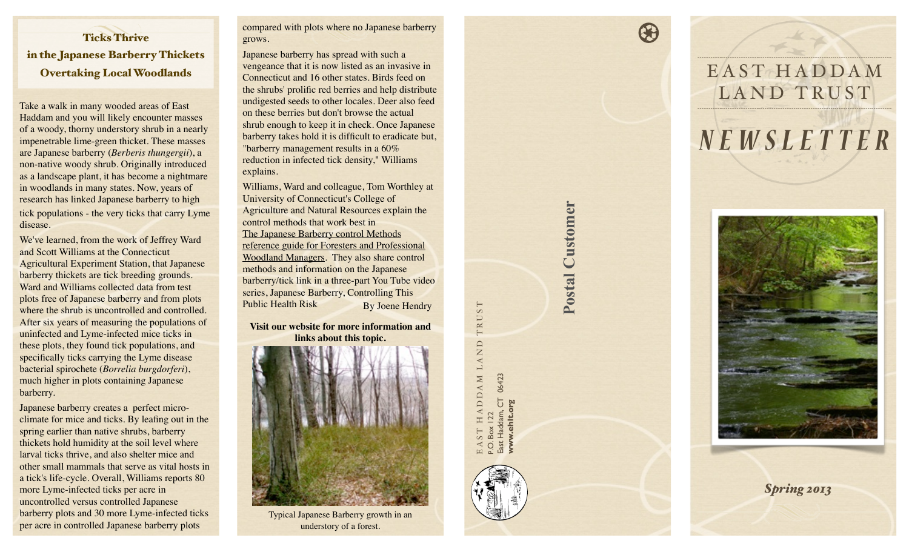## Ticks Thrive in the Japanese Barberry Thickets Overtaking Local Woodlands

Take a walk in many wooded areas of East Haddam and you will likely encounter masses of a woody, thorny understory shrub in a nearly impenetrable lime-green thicket. These masses are Japanese barberry (*Berberis thungergii*), a non-native woody shrub. Originally introduced as a landscape plant, it has become a nightmare in woodlands in many states. Now, years of research has linked Japanese barberry to high tick populations - the very ticks that carry Lyme disease.

We've learned, from the work of Jeffrey Ward and Scott Williams at the Connecticut Agricultural Experiment Station, that Japanese barberry thickets are tick breeding grounds. Ward and Williams collected data from test plots free of Japanese barberry and from plots where the shrub is uncontrolled and controlled. After six years of measuring the populations of uninfected and Lyme-infected mice ticks in these plots, they found tick populations, and specifically ticks carrying the Lyme disease bacterial spirochete (*Borrelia burgdorferi*), much higher in plots containing Japanese barberry.

Japanese barberry creates a perfect microclimate for mice and ticks. By leafing out in the spring earlier than native shrubs, barberry thickets hold humidity at the soil level where larval ticks thrive, and also shelter mice and other small mammals that serve as vital hosts in a tick's life-cycle. Overall, Williams reports 80 more Lyme-infected ticks per acre in uncontrolled versus controlled Japanese barberry plots and 30 more Lyme-infected ticks per acre in controlled Japanese barberry plots

compared with plots where no Japanese barberry grows.

Japanese barberry has spread with such a vengeance that it is now listed as an invasive in Connecticut and 16 other states. Birds feed on the shrubs' prolific red berries and help distribute undigested seeds to other locales. Deer also feed on these berries but don't browse the actual shrub enough to keep it in check. Once Japanese barberry takes hold it is difficult to eradicate but, "barberry management results in a 60% reduction in infected tick density," Williams explains.

Williams, Ward and colleague, Tom Worthley at University of Connecticut's College of Agriculture and Natural Resources explain the control methods that work best in The Japanese Barberry control Methods reference guide for Foresters and Professional Woodland Managers. They also share control methods and information on the Japanese barberry/tick link in a three-part You Tube video series, Japanese Barberry, Controlling This Public Health Risk By Joene Hendry

**Visit our website for more information and links about this topic.**



understory of a forest.

TRUST E A S T H A D D A M L A N D T R U S T HADDAM LAND East Haddam, CT 06423 East Haddam, CT 06423 ww.ehlt.org **[www.ehlt.org](http://www.ehlt.org)** P.O. Box 122  $\Delta$ 

**Postal Customer**

**Postal Customer** 





 $\bigcirc$ 

*Spring 2013*